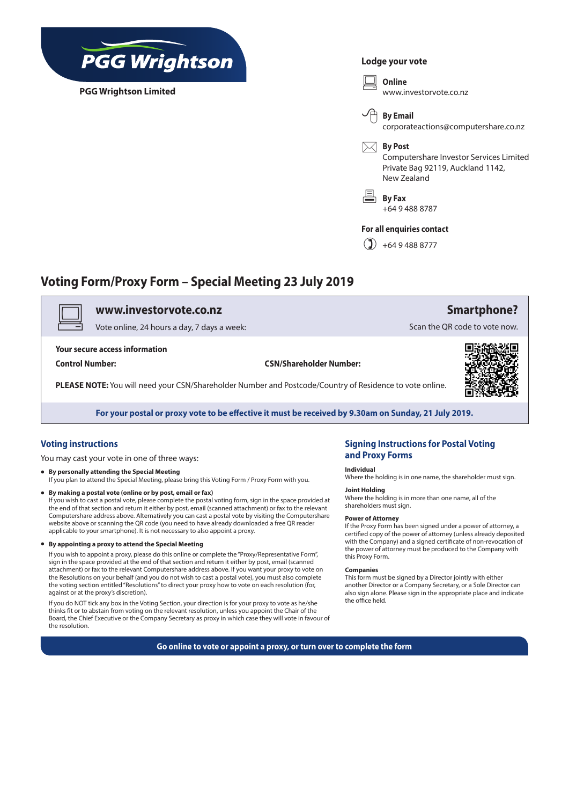

**PGG Wrightson Limited**

#### **Lodge your vote**

v **Online** www.investorvote.co.nz



corporateactions@computershare.co.nz

#### $\boxtimes$  **By Post**

Computershare Investor Services Limited Private Bag 92119, Auckland 1142, New Zealand

6 **By Fax** +64 9 488 8787

#### **For all enquiries contact**

 $\binom{9}{4}$  +64 9 488 8777

## **Voting Form/Proxy Form – Special Meeting 23 July 2019**

### v **www.investorvote.co.nz**

Vote online, 24 hours a day, 7 days a week:

**Your secure access information**

**Control Number: CSN/Shareholder Number:**

**PLEASE NOTE:** You will need your CSN/Shareholder Number and Postcode/Country of Residence to vote online.



**Smartphone?**

Scan the QR code to vote now.

**For your postal or proxy vote to be effective it must be received by 9.30am on Sunday, 21 July 2019.**

### **Voting instructions**

You may cast your vote in one of three ways:

- **• By personally attending the Special Meeting** If you plan to attend the Special Meeting, please bring this Voting Form / Proxy Form with you.
- **• By making a postal vote (online or by post, email or fax)**  If you wish to cast a postal vote, please complete the postal voting form, sign in the space provided at the end of that section and return it either by post, email (scanned attachment) or fax to the relevant Computershare address above. Alternatively you can cast a postal vote by visiting the Computershare website above or scanning the QR code (you need to have already downloaded a free QR reader applicable to your smartphone). It is not necessary to also appoint a proxy.
- **• By appointing a proxy to attend the Special Meeting**

If you wish to appoint a proxy, please do this online or complete the "Proxy/Representative Form", sign in the space provided at the end of that section and return it either by post, email (scanned attachment) or fax to the relevant Computershare address above. If you want your proxy to vote on the Resolutions on your behalf (and you do not wish to cast a postal vote), you must also complete the voting section entitled "Resolutions" to direct your proxy how to vote on each resolution (for, against or at the proxy's discretion).

If you do NOT tick any box in the Voting Section, your direction is for your proxy to vote as he/she thinks fit or to abstain from voting on the relevant resolution, unless you appoint the Chair of the Board, the Chief Executive or the Company Secretary as proxy in which case they will vote in favour of the resolution.

### **Signing Instructions for Postal Voting and Proxy Forms**

#### **Individual**

Where the holding is in one name, the shareholder must sign.

### **Joint Holding**

Where the holding is in more than one name, all of the shareholders must sign.

#### **Power of Attorney**

If the Proxy Form has been signed under a power of attorney, a certified copy of the power of attorney (unless already deposited with the Company) and a signed certificate of non-revocation of the power of attorney must be produced to the Company with this Proxy Form.

#### **Companies**

This form must be signed by a Director jointly with either another Director or a Company Secretary, or a Sole Director can also sign alone. Please sign in the appropriate place and indicate the office held.

**Go online to vote or appoint a proxy, or turn over to complete the form**